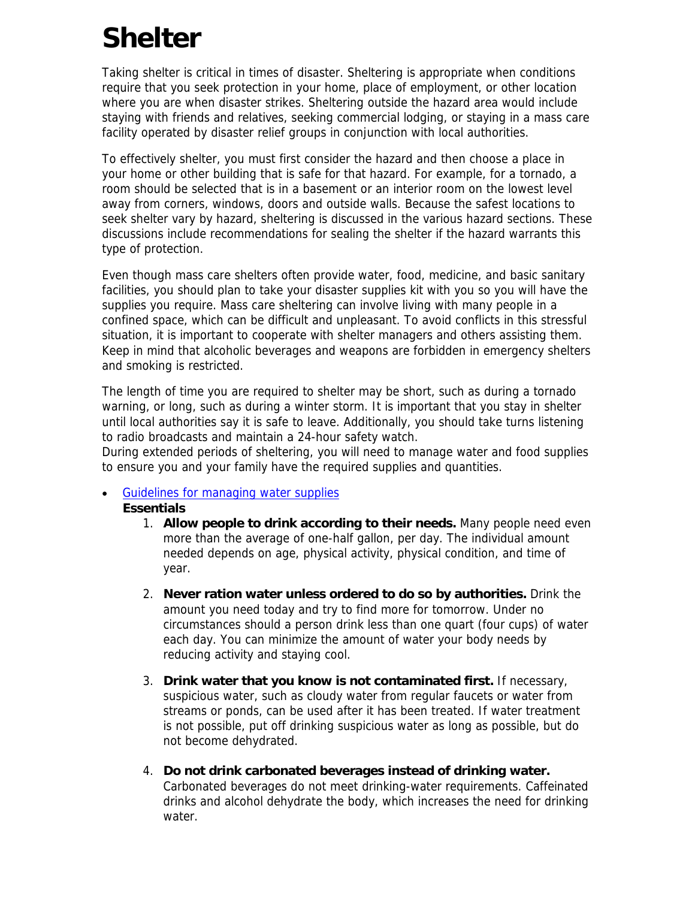# **Shelter**

Taking shelter is critical in times of disaster. Sheltering is appropriate when conditions require that you seek protection in your home, place of employment, or other location where you are when disaster strikes. Sheltering outside the hazard area would include staying with friends and relatives, seeking commercial lodging, or staying in a mass care facility operated by disaster relief groups in conjunction with local authorities.

To effectively shelter, you must first consider the hazard and then choose a place in your home or other building that is safe for that hazard. For example, for a tornado, a room should be selected that is in a basement or an interior room on the lowest level away from corners, windows, doors and outside walls. Because the safest locations to seek shelter vary by hazard, sheltering is discussed in the various hazard sections. These discussions include recommendations for sealing the shelter if the hazard warrants this type of protection.

Even though mass care shelters often provide water, food, medicine, and basic sanitary facilities, you should plan to take your disaster supplies kit with you so you will have the supplies you require. Mass care sheltering can involve living with many people in a confined space, which can be difficult and unpleasant. To avoid conflicts in this stressful situation, it is important to cooperate with shelter managers and others assisting them. Keep in mind that alcoholic beverages and weapons are forbidden in emergency shelters and smoking is restricted.

The length of time you are required to shelter may be short, such as during a tornado warning, or long, such as during a winter storm. It is important that you stay in shelter until local authorities say it is safe to leave. Additionally, you should take turns listening to radio broadcasts and maintain a 24-hour safety watch.

During extended periods of sheltering, you will need to manage water and food supplies to ensure you and your family have the required supplies and quantities.

#### **Guidelines for managing water supplies Essentials**

- 1. **Allow people to drink according to their needs.** Many people need even more than the average of one-half gallon, per day. The individual amount needed depends on age, physical activity, physical condition, and time of year.
- 2. **Never ration water unless ordered to do so by authorities.** Drink the amount you need today and try to find more for tomorrow. Under no circumstances should a person drink less than one quart (four cups) of water each day. You can minimize the amount of water your body needs by reducing activity and staying cool.
- 3. **Drink water that you know is not contaminated first.** If necessary, suspicious water, such as cloudy water from regular faucets or water from streams or ponds, can be used after it has been treated. If water treatment is not possible, put off drinking suspicious water as long as possible, but do not become dehydrated.
- 4. **Do not drink carbonated beverages instead of drinking water.** Carbonated beverages do not meet drinking-water requirements. Caffeinated drinks and alcohol dehydrate the body, which increases the need for drinking water.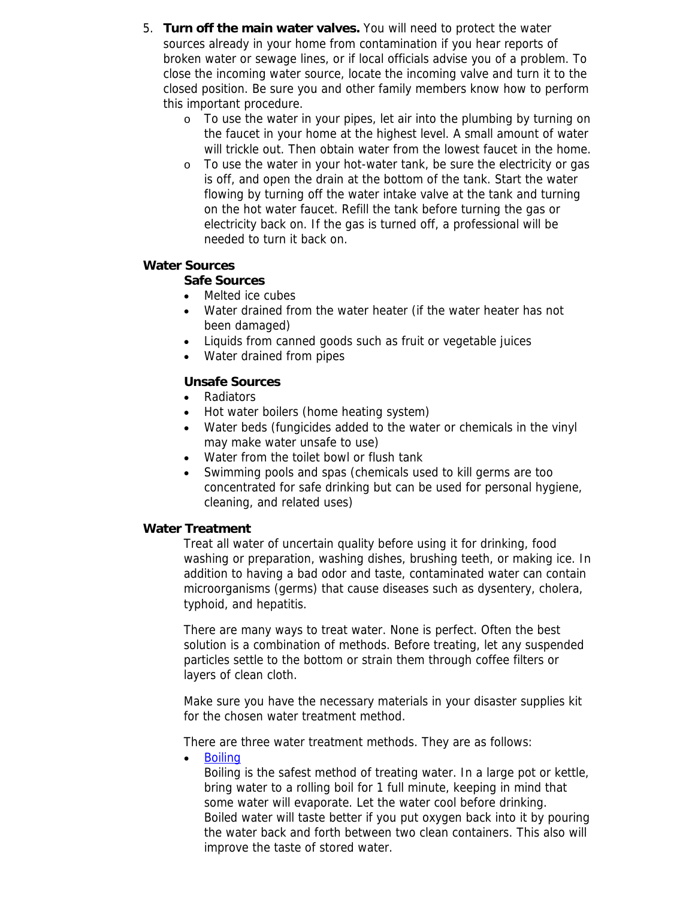- 5. **Turn off the main water valves.** You will need to protect the water sources already in your home from contamination if you hear reports of broken water or sewage lines, or if local officials advise you of a problem. To close the incoming water source, locate the incoming valve and turn it to the closed position. Be sure you and other family members know how to perform this important procedure.
	- o To use the water in your pipes, let air into the plumbing by turning on the faucet in your home at the highest level. A small amount of water will trickle out. Then obtain water from the lowest faucet in the home.
	- To use the water in your hot-water tank, be sure the electricity or gas is off, and open the drain at the bottom of the tank. Start the water flowing by turning off the water intake valve at the tank and turning on the hot water faucet. Refill the tank before turning the gas or electricity back on. If the gas is turned off, a professional will be needed to turn it back on.

#### **Water Sources**

#### **Safe Sources**

- Melted ice cubes
- Water drained from the water heater (if the water heater has not been damaged)
- Liquids from canned goods such as fruit or vegetable juices
- Water drained from pipes

#### **Unsafe Sources**

- Radiators
- Hot water boilers (home heating system)
- Water beds (fungicides added to the water or chemicals in the vinyl may make water unsafe to use)
- Water from the toilet bowl or flush tank
- Swimming pools and spas (chemicals used to kill germs are too concentrated for safe drinking but can be used for personal hygiene, cleaning, and related uses)

#### **Water Treatment**

Treat all water of uncertain quality before using it for drinking, food washing or preparation, washing dishes, brushing teeth, or making ice. In addition to having a bad odor and taste, contaminated water can contain microorganisms (germs) that cause diseases such as dysentery, cholera, typhoid, and hepatitis.

There are many ways to treat water. None is perfect. Often the best solution is a combination of methods. Before treating, let any suspended particles settle to the bottom or strain them through coffee filters or layers of clean cloth.

Make sure you have the necessary materials in your disaster supplies kit for the chosen water treatment method.

There are three water treatment methods. They are as follows:

• [Boiling](http://www.fema.gov/plan/prepare/watermanage.shtm#boiling#boiling)

Boiling is the safest method of treating water. In a large pot or kettle, bring water to a rolling boil for 1 full minute, keeping in mind that some water will evaporate. Let the water cool before drinking. Boiled water will taste better if you put oxygen back into it by pouring the water back and forth between two clean containers. This also will improve the taste of stored water.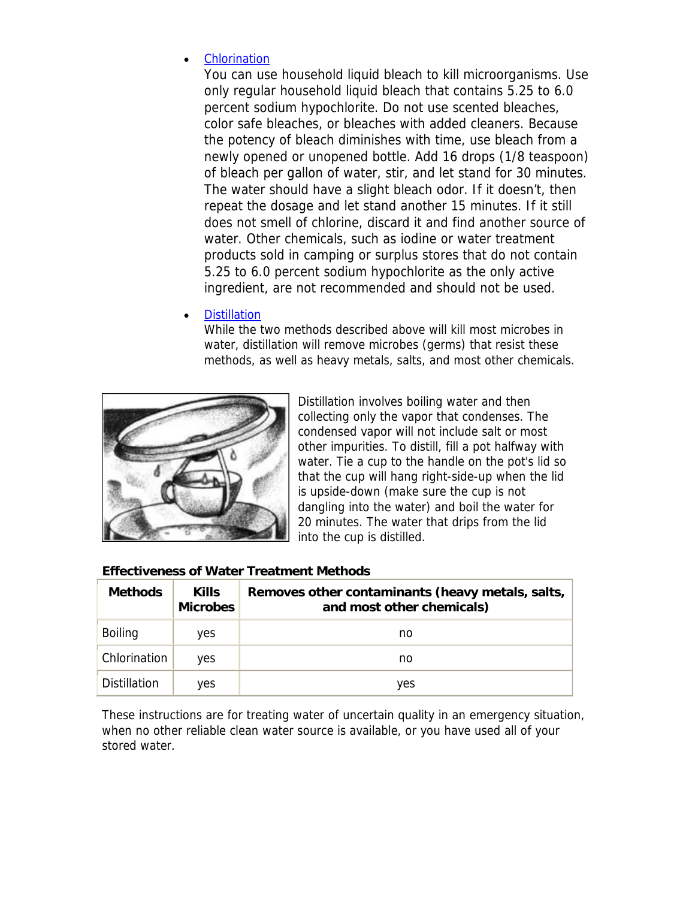# **Chlorination**

You can use household liquid bleach to kill microorganisms. Use only regular household liquid bleach that contains 5.25 to 6.0 percent sodium hypochlorite. Do not use scented bleaches, color safe bleaches, or bleaches with added cleaners. Because the potency of bleach diminishes with time, use bleach from a newly opened or unopened bottle. Add 16 drops (1/8 teaspoon) of bleach per gallon of water, stir, and let stand for 30 minutes. The water should have a slight bleach odor. If it doesn't, then repeat the dosage and let stand another 15 minutes. If it still does not smell of chlorine, discard it and find another source of water. Other chemicals, such as iodine or water treatment products sold in camping or surplus stores that do not contain 5.25 to 6.0 percent sodium hypochlorite as the only active ingredient, are not recommended and should not be used.

#### **[Distillation](http://www.fema.gov/plan/prepare/watermanage.shtm#distillation#distillation)**

While the two methods described above will kill most microbes in water, distillation will remove microbes (germs) that resist these methods, as well as heavy metals, salts, and most other chemicals.



Distillation involves boiling water and then collecting only the vapor that condenses. The condensed vapor will not include salt or most other impurities. To distill, fill a pot halfway with water. Tie a cup to the handle on the pot's lid so that the cup will hang right-side-up when the lid is upside-down (make sure the cup is not dangling into the water) and boil the water for 20 minutes. The water that drips from the lid into the cup is distilled.

| <b>Methods</b> | <b>Kills</b><br><b>Microbes</b> | Removes other contaminants (heavy metals, salts,<br>and most other chemicals) |
|----------------|---------------------------------|-------------------------------------------------------------------------------|
| <b>Boiling</b> | yes                             | no                                                                            |
| Chlorination   | <b>ves</b>                      | no                                                                            |
| Distillation   | <b>ves</b>                      | yes                                                                           |

#### **Effectiveness of Water Treatment Methods**

These instructions are for treating water of uncertain quality in an emergency situation, when no other reliable clean water source is available, or you have used all of your stored water.